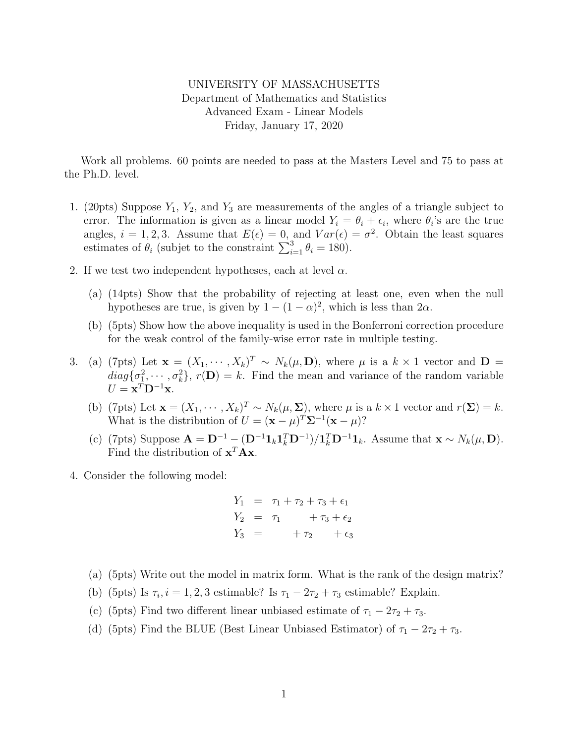## UNIVERSITY OF MASSACHUSETTS Department of Mathematics and Statistics Advanced Exam - Linear Models Friday, January 17, 2020

Work all problems. 60 points are needed to pass at the Masters Level and 75 to pass at the Ph.D. level.

- 1. (20pts) Suppose  $Y_1$ ,  $Y_2$ , and  $Y_3$  are measurements of the angles of a triangle subject to error. The information is given as a linear model  $Y_i = \theta_i + \epsilon_i$ , where  $\theta_i$ 's are the true angles,  $i = 1, 2, 3$ . Assume that  $E(\epsilon) = 0$ , and  $Var(\epsilon) = \sigma^2$ . Obtain the least squares estimates of  $\theta_i$  (subjet to the constraint  $\sum_{i=1}^3 \theta_i = 180$ ).
- 2. If we test two independent hypotheses, each at level  $\alpha$ .
	- (a) (14pts) Show that the probability of rejecting at least one, even when the null hypotheses are true, is given by  $1 - (1 - \alpha)^2$ , which is less than  $2\alpha$ .
	- (b) (5pts) Show how the above inequality is used in the Bonferroni correction procedure for the weak control of the family-wise error rate in multiple testing.
- 3. (a) (7pts) Let  $\mathbf{x} = (X_1, \dots, X_k)^T \sim N_k(\mu, \mathbf{D})$ , where  $\mu$  is a  $k \times 1$  vector and  $\mathbf{D} =$  $diag\{\sigma_1^2, \cdots, \sigma_k^2\}, r(\mathbf{D}) = k$ . Find the mean and variance of the random variable  $U = \mathbf{x}^T \mathbf{D}^{-1} \mathbf{x}.$ 
	- (b) (7pts) Let  $\mathbf{x} = (X_1, \dots, X_k)^T \sim N_k(\mu, \Sigma)$ , where  $\mu$  is a  $k \times 1$  vector and  $r(\Sigma) = k$ . What is the distribution of  $U = (\mathbf{x} - \mu)^T \mathbf{\Sigma}^{-1} (\mathbf{x} - \mu)$ ?
	- (c) (7pts) Suppose  $\mathbf{A} = \mathbf{D}^{-1} (\mathbf{D}^{-1} \mathbf{1}_k \mathbf{1}_k^T \mathbf{D}^{-1}) / \mathbf{1}_k^T \mathbf{D}^{-1} \mathbf{1}_k$ . Assume that  $\mathbf{x} \sim N_k(\mu, \mathbf{D})$ . Find the distribution of  $\mathbf{x}^T \mathbf{A} \mathbf{x}$ .
- 4. Consider the following model:

$$
Y_1 = \tau_1 + \tau_2 + \tau_3 + \epsilon_1 Y_2 = \tau_1 + \tau_3 + \epsilon_2 Y_3 = +\tau_2 + \epsilon_3
$$

- (a) (5pts) Write out the model in matrix form. What is the rank of the design matrix?
- (b) (5pts) Is  $\tau_i$ ,  $i = 1, 2, 3$  estimable? Is  $\tau_1 2\tau_2 + \tau_3$  estimable? Explain.
- (c) (5pts) Find two different linear unbiased estimate of  $\tau_1 2\tau_2 + \tau_3$ .
- (d) (5pts) Find the BLUE (Best Linear Unbiased Estimator) of  $\tau_1 2\tau_2 + \tau_3$ .